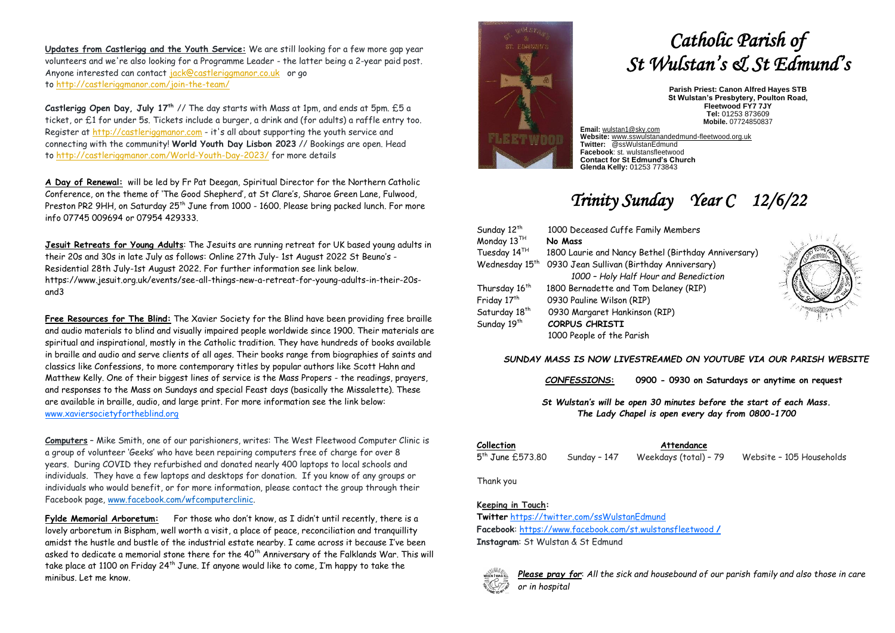**Updates from Castlerigg and the Youth Service:** We are still looking for a few more gap year volunteers and we're also looking for a Programme Leader - the latter being a 2-year paid post. Anyone interested can contact [jack@castleriggmanor.co.uk](mailto:jack@castleriggmanor.co.uk) or go to <http://castleriggmanor.com/join-the-team/>

**Castlerigg Open Day, July 17th** // The day starts with Mass at 1pm, and ends at 5pm. £5 a ticket, or £1 for under 5s. Tickets include a burger, a drink and (for adults) a raffle entry too. Register at [http://castleriggmanor.com](http://castleriggmanor.com/) - it's all about supporting the youth service and connecting with the community! **World Youth Day Lisbon 2023** // Bookings are open. Head to <http://castleriggmanor.com/World-Youth-Day-2023/> for more details

**A Day of Renewal:** will be led by Fr Pat Deegan, Spiritual Director for the Northern Catholic Conference, on the theme of 'The Good Shepherd', at St Clare's, Sharoe Green Lane, Fulwood, Preston PR2 9HH, on Saturday 25<sup>th</sup> June from 1000 - 1600. Please bring packed lunch. For more info 07745 009694 or 07954 429333.

**Jesuit Retreats for Young Adults**: The Jesuits are running retreat for UK based young adults in their 20s and 30s in late July as follows: Online 27th July- 1st August 2022 St Beuno's - Residential 28th July-1st August 2022. For further information see link below. https://www.jesuit.org.uk/events/see-all-things-new-a-retreat-for-young-adults-in-their-20sand3

**Free Resources for The Blind:** The Xavier Society for the Blind have been providing free braille and audio materials to blind and visually impaired people worldwide since 1900. Their materials are spiritual and inspirational, mostly in the Catholic tradition. They have hundreds of books available in braille and audio and serve clients of all ages. Their books range from biographies of saints and classics like Confessions, to more contemporary titles by popular authors like Scott Hahn and Matthew Kelly. One of their biggest lines of service is the Mass Propers - the readings, prayers, and responses to the Mass on Sundays and special Feast days (basically the Missalette). These are available in braille, audio, and large print. For more information see the link below: [www.xaviersocietyfortheblind.org](http://www.xaviersocietyfortheblind.org/)

**Computers** – Mike Smith, one of our parishioners, writes: The West Fleetwood Computer Clinic is a group of volunteer 'Geeks' who have been repairing computers free of charge for over 8 years. During COVID they refurbished and donated nearly 400 laptops to local schools and individuals. They have a few laptops and desktops for donation. If you know of any groups or individuals who would benefit, or for more information, please contact the group through their Facebook page, [www.facebook.com/wfcomputerclinic.](http://www.facebook.com/wfcomputerclinic)

**Fylde Memorial Arboretum:** For those who don't know, as I didn't until recently, there is a lovely arboretum in Bispham, well worth a visit, a place of peace, reconciliation and tranquillity amidst the hustle and bustle of the industrial estate nearby. I came across it because I've been asked to dedicate a memorial stone there for the 40<sup>th</sup> Anniversary of the Falklands War. This will take place at 1100 on Friday 24th June. If anyone would like to come, I'm happy to take the minibus. Let me know.



# *Catholic Parish of St Wulstan's & St Edmund's*

**Parish Priest: Canon Alfred Hayes STB St Wulstan's Presbytery, Poulton Road, Fleetwood FY7 7JY Tel:** 01253 873609 **Mobile.** 07724850837

**Email:** [wulstan1@sky.com](mailto:wulstan1@sky.com) **Website:** [www.sswulstanandedmund-fleetwood.org.uk](http://www.sswulstanandedmund-fleetwood.org.uk/) **Twitter:** @ssWulstanEdmund **Facebook**: st. wulstansfleetwood **Contact for St Edmund's Church Glenda Kelly:** 01253 773843

## *Trinity Sunday Year C 12/6/22*

| Sunday 12 <sup>th</sup>    | 1000 Deceased Cuffe Family Members                  |                               |
|----------------------------|-----------------------------------------------------|-------------------------------|
| Monday 13TH                | No Mass                                             |                               |
| Tuesday 14 <sup>TH</sup>   | 1800 Laurie and Nancy Bethel (Birthday Anniversary) |                               |
| Wednesday 15 <sup>th</sup> | 0930 Jean Sullivan (Birthday Anniversary)           |                               |
|                            | 1000 - Holy Half Hour and Benediction               |                               |
| Thursday 16 <sup>th</sup>  | 1800 Bernadette and Tom Delaney (RIP)               |                               |
| Friday 17th                | 0930 Pauline Wilson (RIP)                           | $\stackrel{\text{def}}{\geq}$ |
| Saturday 18 <sup>th</sup>  | 0930 Margaret Hankinson (RIP)                       |                               |
| Sunday 19 <sup>th</sup>    | <b>CORPUS CHRISTI</b>                               |                               |
|                            | 1000 People of the Parish                           |                               |

### *SUNDAY MASS IS NOW LIVESTREAMED ON YOUTUBE VIA OUR PARISH WEBSITE*

*CONFESSIONS***: 0900 - 0930 on Saturdays or anytime on request**

*St Wulstan's will be open 30 minutes before the start of each Mass. The Lady Chapel is open every day from 0800-1700*

5<sup>th</sup> June £573.80

**Collection Attendance**

Sunday - 147 Weekdays (total) - 79 Website - 105 Households

Thank you

#### **Keeping in Touch:**

**Twitter** <https://twitter.com/ssWulstanEdmund> **Facebook**: https://www.facebook.com/st.wulstansfleetwood **/**

**Instagram**: St Wulstan & St Edmund



*Please pray for*: *All the sick and housebound of our parish family and also those in care or in hospital*